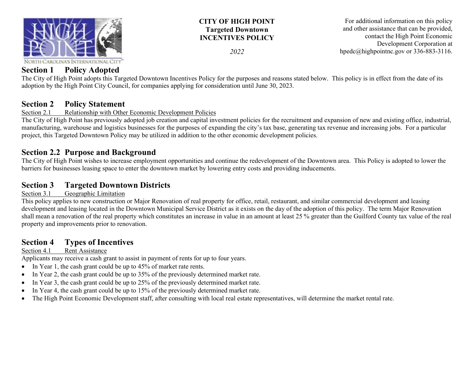

## **CITY OF HIGH POINT Targeted Downtown INCENTIVES POLICY**

*2022*

For additional information on this policy and other assistance that can be provided, contact the High Point Economic Development Corporation at hpedc@highpointnc.gov or 336-883-3116.

## **Section 1 Policy Adopted**

The City of High Point adopts this Targeted Downtown Incentives Policy for the purposes and reasons stated below. This policy is in effect from the date of its adoption by the High Point City Council, for companies applying for consideration until June 30, 2023.

# **Section 2 Policy Statement**<br>Section 2.1 Relationship with Other

### Relationship with Other Economic Development Policies

The City of High Point has previously adopted job creation and capital investment policies for the recruitment and expansion of new and existing office, industrial, manufacturing, warehouse and logistics businesses for the purposes of expanding the city's tax base, generating tax revenue and increasing jobs. For a particular project, this Targeted Downtown Policy may be utilized in addition to the other economic development policies.

## **Section 2.2 Purpose and Background**

The City of High Point wishes to increase employment opportunities and continue the redevelopment of the Downtown area. This Policy is adopted to lower the barriers for businesses leasing space to enter the downtown market by lowering entry costs and providing inducements.

## **Section 3 Targeted Downtown Districts**

#### Section 3.1 Geographic Limitation

This policy applies to new construction or Major Renovation of real property for office, retail, restaurant, and similar commercial development and leasing development and leasing located in the Downtown Municipal Service District as it exists on the day of the adoption of this policy. The term Major Renovation shall mean a renovation of the real property which constitutes an increase in value in an amount at least 25 % greater than the Guilford County tax value of the real property and improvements prior to renovation.

## **Section 4 Types of Incentives**

#### Section 4.1 Rent Assistance

Applicants may receive a cash grant to assist in payment of rents for up to four years.

- In Year 1, the cash grant could be up to 45% of market rate rents.
- In Year 2, the cash grant could be up to 35% of the previously determined market rate.
- In Year 3, the cash grant could be up to 25% of the previously determined market rate.
- In Year 4, the cash grant could be up to 15% of the previously determined market rate.
- The High Point Economic Development staff, after consulting with local real estate representatives, will determine the market rental rate.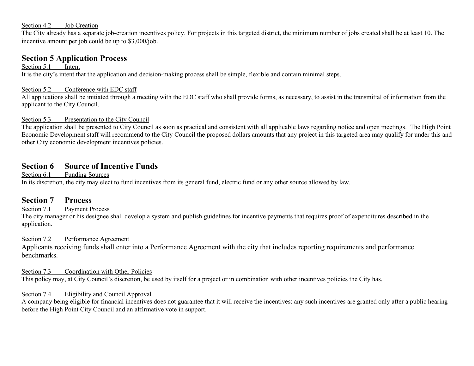#### Section 4.2 Job Creation

The City already has a separate job-creation incentives policy. For projects in this targeted district, the minimum number of jobs created shall be at least 10. The incentive amount per job could be up to \$3,000/job.

## **Section 5 Application Process**

Section 5.1 Intent It is the city's intent that the application and decision-making process shall be simple, flexible and contain minimal steps.

#### Section 5.2 Conference with EDC staff

All applications shall be initiated through a meeting with the EDC staff who shall provide forms, as necessary, to assist in the transmittal of information from the applicant to the City Council.

#### Section 5.3 Presentation to the City Council

The application shall be presented to City Council as soon as practical and consistent with all applicable laws regarding notice and open meetings. The High Point Economic Development staff will recommend to the City Council the proposed dollars amounts that any project in this targeted area may qualify for under this and other City economic development incentives policies.

## **Section 6 Source of Incentive Funds**

Section 6.1 Funding Sources

In its discretion, the city may elect to fund incentives from its general fund, electric fund or any other source allowed by law.

## **Section 7 Process**

#### Section 7.1 Payment Process

The city manager or his designee shall develop a system and publish guidelines for incentive payments that requires proof of expenditures described in the application.

#### Section 7.2 Performance Agreement

Applicants receiving funds shall enter into a Performance Agreement with the city that includes reporting requirements and performance benchmarks.

#### Section 7.3 Coordination with Other Policies

This policy may, at City Council's discretion, be used by itself for a project or in combination with other incentives policies the City has.

#### Section 7.4 Eligibility and Council Approval

A company being eligible for financial incentives does not guarantee that it will receive the incentives: any such incentives are granted only after a public hearing before the High Point City Council and an affirmative vote in support.